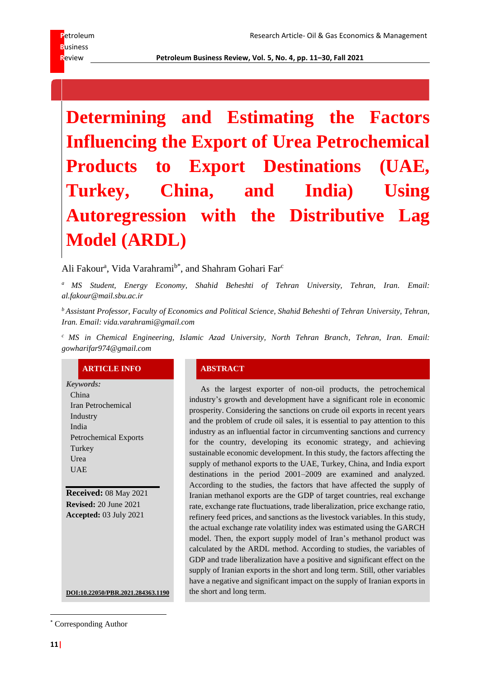**Determining and Estimating the Factors Influencing the Export of Urea Petrochemical Products to Export Destinations (UAE, Turkey, China, and India) Using Autoregression with the Distributive Lag Model (ARDL)**

Ali Fakour<sup>a</sup>, Vida Varahrami<sup>b\*</sup>, and Shahram Gohari Far<sup>c</sup>

*<sup>a</sup> MS Student, Energy Economy, Shahid Beheshti of Tehran University, Tehran, Iran. Email: al.fakour@mail.sbu.ac.ir*

*<sup>b</sup> Assistant Professor, Faculty of Economics and Political Science, Shahid Beheshti of Tehran University, Tehran, Iran. Email: vida.varahrami@gmail.com*

*<sup>c</sup> MS in Chemical Engineering, Islamic Azad University, North Tehran Branch, Tehran, Iran. Email: gowharifar974@gmail.com*

### **ARTICLE INFO ABSTRACT**

*Keywords:* China Iran Petrochemical Industry India Petrochemical Exports Turkey Urea UAE

**Received:** 08 May 2021 **Revised:** 20 June 2021 **Accepted:** 03 July 2021

**DOI:10.22050/PBR.2021.284363.1190** the short and long term.

As the largest exporter of non-oil products, the petrochemical industry's growth and development have a significant role in economic prosperity. Considering the sanctions on crude oil exports in recent years and the problem of crude oil sales, it is essential to pay attention to this industry as an influential factor in circumventing sanctions and currency for the country, developing its economic strategy, and achieving sustainable economic development. In this study, the factors affecting the supply of methanol exports to the UAE, Turkey, China, and India export destinations in the period 2001–2009 are examined and analyzed. According to the studies, the factors that have affected the supply of Iranian methanol exports are the GDP of target countries, real exchange rate, exchange rate fluctuations, trade liberalization, price exchange ratio, refinery feed prices, and sanctions as the livestock variables. In this study, the actual exchange rate volatility index was estimated using the GARCH model. Then, the export supply model of Iran's methanol product was calculated by the ARDL method. According to studies, the variables of GDP and trade liberalization have a positive and significant effect on the supply of Iranian exports in the short and long term. Still, other variables have a negative and significant impact on the supply of Iranian exports in

<sup>\*</sup> Corresponding Author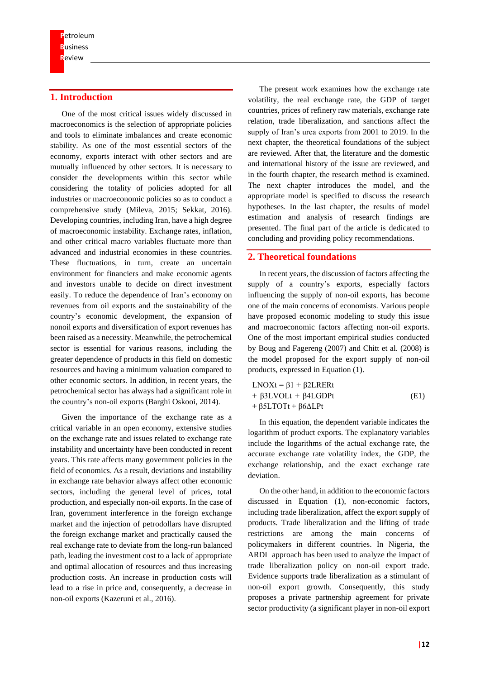# **1. Introduction**

One of the most critical issues widely discussed in macroeconomics is the selection of appropriate policies and tools to eliminate imbalances and create economic stability. As one of the most essential sectors of the economy, exports interact with other sectors and are mutually influenced by other sectors. It is necessary to consider the developments within this sector while considering the totality of policies adopted for all industries or macroeconomic policies so as to conduct a comprehensive study (Mileva, 2015; Sekkat, 2016). Developing countries, including Iran, have a high degree of macroeconomic instability. Exchange rates, inflation, and other critical macro variables fluctuate more than advanced and industrial economies in these countries. These fluctuations, in turn, create an uncertain environment for financiers and make economic agents and investors unable to decide on direct investment easily. To reduce the dependence of Iran's economy on revenues from oil exports and the sustainability of the country's economic development, the expansion of nonoil exports and diversification of export revenues has been raised as a necessity. Meanwhile, the petrochemical sector is essential for various reasons, including the greater dependence of products in this field on domestic resources and having a minimum valuation compared to other economic sectors. In addition, in recent years, the petrochemical sector has always had a significant role in the country's non-oil exports (Barghi Oskooi, 2014).

Given the importance of the exchange rate as a critical variable in an open economy, extensive studies on the exchange rate and issues related to exchange rate instability and uncertainty have been conducted in recent years. This rate affects many government policies in the field of economics. As a result, deviations and instability in exchange rate behavior always affect other economic sectors, including the general level of prices, total production, and especially non-oil exports. In the case of Iran, government interference in the foreign exchange market and the injection of petrodollars have disrupted the foreign exchange market and practically caused the real exchange rate to deviate from the long-run balanced path, leading the investment cost to a lack of appropriate and optimal allocation of resources and thus increasing production costs. An increase in production costs will lead to a rise in price and, consequently, a decrease in non-oil exports (Kazeruni et al., 2016).

The present work examines how the exchange rate volatility, the real exchange rate, the GDP of target countries, prices of refinery raw materials, exchange rate relation, trade liberalization, and sanctions affect the supply of Iran's urea exports from 2001 to 2019. In the next chapter, the theoretical foundations of the subject are reviewed. After that, the literature and the domestic and international history of the issue are reviewed, and in the fourth chapter, the research method is examined. The next chapter introduces the model, and the appropriate model is specified to discuss the research hypotheses. In the last chapter, the results of model estimation and analysis of research findings are presented. The final part of the article is dedicated to concluding and providing policy recommendations.

# **2. Theoretical foundations**

In recent years, the discussion of factors affecting the supply of a country's exports, especially factors influencing the supply of non-oil exports, has become one of the main concerns of economists. Various people have proposed economic modeling to study this issue and macroeconomic factors affecting non-oil exports. One of the most important empirical studies conducted by Boug and Fagereng (2007) and Chitt et al. (2008) is the model proposed for the export supply of non-oil products, expressed in Equation (1).

$$
LNOXt = \beta 1 + \beta 2LRERt + \beta 3LVOLt + \beta 4LGDPt + \beta 5LTOTt + \beta 6\Delta LPt
$$
 (E1)

In this equation, the dependent variable indicates the logarithm of product exports. The explanatory variables include the logarithms of the actual exchange rate, the accurate exchange rate volatility index, the GDP, the exchange relationship, and the exact exchange rate deviation.

On the other hand, in addition to the economic factors discussed in Equation (1), non-economic factors, including trade liberalization, affect the export supply of products. Trade liberalization and the lifting of trade restrictions are among the main concerns of policymakers in different countries. In Nigeria, the ARDL approach has been used to analyze the impact of trade liberalization policy on non-oil export trade. Evidence supports trade liberalization as a stimulant of non-oil export growth. Consequently, this study proposes a private partnership agreement for private sector productivity (a significant player in non-oil export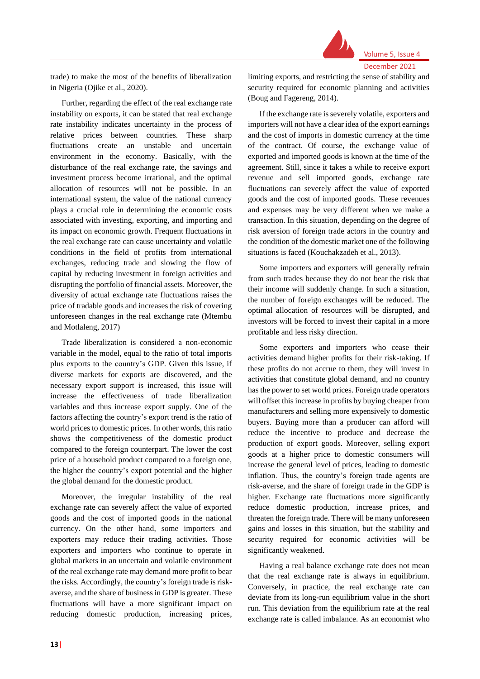

Further, regarding the effect of the real exchange rate instability on exports, it can be stated that real exchange rate instability indicates uncertainty in the process of relative prices between countries. These sharp fluctuations create an unstable and uncertain environment in the economy. Basically, with the disturbance of the real exchange rate, the savings and investment process become irrational, and the optimal allocation of resources will not be possible. In an international system, the value of the national currency plays a crucial role in determining the economic costs associated with investing, exporting, and importing and its impact on economic growth. Frequent fluctuations in the real exchange rate can cause uncertainty and volatile conditions in the field of profits from international exchanges, reducing trade and slowing the flow of capital by reducing investment in foreign activities and disrupting the portfolio of financial assets. Moreover, the diversity of actual exchange rate fluctuations raises the price of tradable goods and increases the risk of covering unforeseen changes in the real exchange rate (Mtembu and Motlaleng, 2017)

Trade liberalization is considered a non-economic variable in the model, equal to the ratio of total imports plus exports to the country's GDP. Given this issue, if diverse markets for exports are discovered, and the necessary export support is increased, this issue will increase the effectiveness of trade liberalization variables and thus increase export supply. One of the factors affecting the country's export trend is the ratio of world prices to domestic prices. In other words, this ratio shows the competitiveness of the domestic product compared to the foreign counterpart. The lower the cost price of a household product compared to a foreign one, the higher the country's export potential and the higher the global demand for the domestic product.

Moreover, the irregular instability of the real exchange rate can severely affect the value of exported goods and the cost of imported goods in the national currency. On the other hand, some importers and exporters may reduce their trading activities. Those exporters and importers who continue to operate in global markets in an uncertain and volatile environment of the real exchange rate may demand more profit to bear the risks. Accordingly, the country's foreign trade is riskaverse, and the share of business in GDP is greater. These fluctuations will have a more significant impact on reducing domestic production, increasing prices,

limiting exports, and restricting the sense of stability and security required for economic planning and activities (Boug and Fagereng, 2014).

If the exchange rate is severely volatile, exporters and importers will not have a clear idea of the export earnings and the cost of imports in domestic currency at the time of the contract. Of course, the exchange value of exported and imported goods is known at the time of the agreement. Still, since it takes a while to receive export revenue and sell imported goods, exchange rate fluctuations can severely affect the value of exported goods and the cost of imported goods. These revenues and expenses may be very different when we make a transaction. In this situation, depending on the degree of risk aversion of foreign trade actors in the country and the condition of the domestic market one of the following situations is faced (Kouchakzadeh et al., 2013).

Some importers and exporters will generally refrain from such trades because they do not bear the risk that their income will suddenly change. In such a situation, the number of foreign exchanges will be reduced. The optimal allocation of resources will be disrupted, and investors will be forced to invest their capital in a more profitable and less risky direction.

Some exporters and importers who cease their activities demand higher profits for their risk-taking. If these profits do not accrue to them, they will invest in activities that constitute global demand, and no country has the power to set world prices. Foreign trade operators will offset this increase in profits by buying cheaper from manufacturers and selling more expensively to domestic buyers. Buying more than a producer can afford will reduce the incentive to produce and decrease the production of export goods. Moreover, selling export goods at a higher price to domestic consumers will increase the general level of prices, leading to domestic inflation. Thus, the country's foreign trade agents are risk-averse, and the share of foreign trade in the GDP is higher. Exchange rate fluctuations more significantly reduce domestic production, increase prices, and threaten the foreign trade. There will be many unforeseen gains and losses in this situation, but the stability and security required for economic activities will be significantly weakened.

Having a real balance exchange rate does not mean that the real exchange rate is always in equilibrium. Conversely, in practice, the real exchange rate can deviate from its long-run equilibrium value in the short run. This deviation from the equilibrium rate at the real exchange rate is called imbalance. As an economist who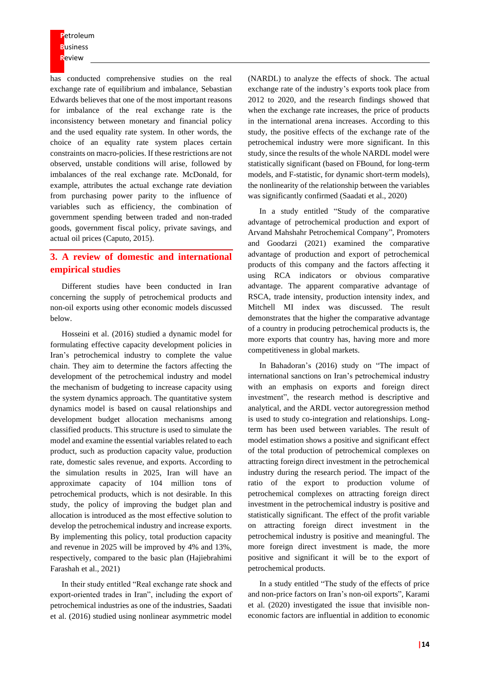has conducted comprehensive studies on the real exchange rate of equilibrium and imbalance, Sebastian Edwards believes that one of the most important reasons for imbalance of the real exchange rate is the inconsistency between monetary and financial policy and the used equality rate system. In other words, the choice of an equality rate system places certain constraints on macro-policies. If these restrictions are not observed, unstable conditions will arise, followed by imbalances of the real exchange rate. McDonald, for example, attributes the actual exchange rate deviation from purchasing power parity to the influence of variables such as efficiency, the combination of government spending between traded and non-traded goods, government fiscal policy, private savings, and actual oil prices (Caputo, 2015).

# **3. A review of domestic and international empirical studies**

Different studies have been conducted in Iran concerning the supply of petrochemical products and non-oil exports using other economic models discussed below.

Hosseini et al. (2016) studied a dynamic model for formulating effective capacity development policies in Iran's petrochemical industry to complete the value chain. They aim to determine the factors affecting the development of the petrochemical industry and model the mechanism of budgeting to increase capacity using the system dynamics approach. The quantitative system dynamics model is based on causal relationships and development budget allocation mechanisms among classified products. This structure is used to simulate the model and examine the essential variables related to each product, such as production capacity value, production rate, domestic sales revenue, and exports. According to the simulation results in 2025, Iran will have an approximate capacity of 104 million tons of petrochemical products, which is not desirable. In this study, the policy of improving the budget plan and allocation is introduced as the most effective solution to develop the petrochemical industry and increase exports. By implementing this policy, total production capacity and revenue in 2025 will be improved by 4% and 13%, respectively, compared to the basic plan (Hajiebrahimi Farashah et al., 2021)

In their study entitled "Real exchange rate shock and export-oriented trades in Iran", including the export of petrochemical industries as one of the industries, Saadati et al. (2016) studied using nonlinear asymmetric model

(NARDL) to analyze the effects of shock. The actual exchange rate of the industry's exports took place from 2012 to 2020, and the research findings showed that when the exchange rate increases, the price of products in the international arena increases. According to this study, the positive effects of the exchange rate of the petrochemical industry were more significant. In this study, since the results of the whole NARDL model were statistically significant (based on FBound, for long-term models, and F-statistic, for dynamic short-term models), the nonlinearity of the relationship between the variables was significantly confirmed (Saadati et al., 2020)

In a study entitled "Study of the comparative advantage of petrochemical production and export of Arvand Mahshahr Petrochemical Company", Promoters and Goodarzi (2021) examined the comparative advantage of production and export of petrochemical products of this company and the factors affecting it using RCA indicators or obvious comparative advantage. The apparent comparative advantage of RSCA, trade intensity, production intensity index, and Mitchell MI index was discussed. The result demonstrates that the higher the comparative advantage of a country in producing petrochemical products is, the more exports that country has, having more and more competitiveness in global markets.

In Bahadoran's (2016) study on "The impact of international sanctions on Iran's petrochemical industry with an emphasis on exports and foreign direct investment", the research method is descriptive and analytical, and the ARDL vector autoregression method is used to study co-integration and relationships. Longterm has been used between variables. The result of model estimation shows a positive and significant effect of the total production of petrochemical complexes on attracting foreign direct investment in the petrochemical industry during the research period. The impact of the ratio of the export to production volume of petrochemical complexes on attracting foreign direct investment in the petrochemical industry is positive and statistically significant. The effect of the profit variable on attracting foreign direct investment in the petrochemical industry is positive and meaningful. The more foreign direct investment is made, the more positive and significant it will be to the export of petrochemical products.

In a study entitled "The study of the effects of price and non-price factors on Iran's non-oil exports", Karami et al. (2020) investigated the issue that invisible noneconomic factors are influential in addition to economic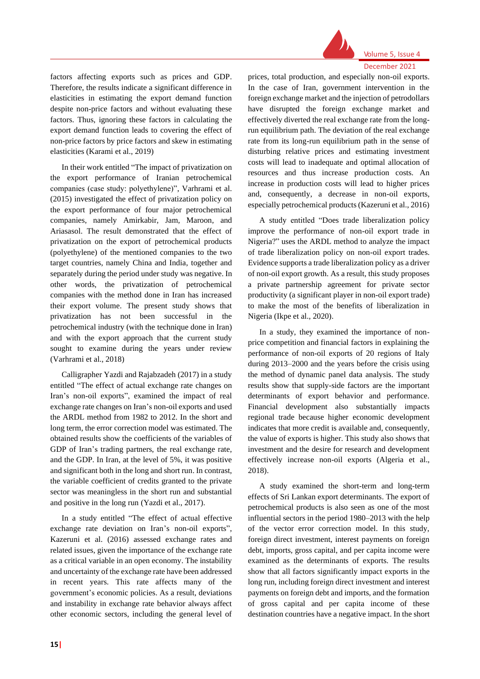

factors affecting exports such as prices and GDP. Therefore, the results indicate a significant difference in elasticities in estimating the export demand function despite non-price factors and without evaluating these factors. Thus, ignoring these factors in calculating the export demand function leads to covering the effect of non-price factors by price factors and skew in estimating elasticities (Karami et al., 2019)

In their work entitled "The impact of privatization on the export performance of Iranian petrochemical companies (case study: polyethylene)", Varhrami et al. (2015) investigated the effect of privatization policy on the export performance of four major petrochemical companies, namely Amirkabir, Jam, Maroon, and Ariasasol. The result demonstrated that the effect of privatization on the export of petrochemical products (polyethylene) of the mentioned companies to the two target countries, namely China and India, together and separately during the period under study was negative. In other words, the privatization of petrochemical companies with the method done in Iran has increased their export volume. The present study shows that privatization has not been successful in the petrochemical industry (with the technique done in Iran) and with the export approach that the current study sought to examine during the years under review (Varhrami et al., 2018)

Calligrapher Yazdi and Rajabzadeh (2017) in a study entitled "The effect of actual exchange rate changes on Iran's non-oil exports", examined the impact of real exchange rate changes on Iran's non-oil exports and used the ARDL method from 1982 to 2012. In the short and long term, the error correction model was estimated. The obtained results show the coefficients of the variables of GDP of Iran's trading partners, the real exchange rate, and the GDP. In Iran, at the level of 5%, it was positive and significant both in the long and short run. In contrast, the variable coefficient of credits granted to the private sector was meaningless in the short run and substantial and positive in the long run (Yazdi et al., 2017).

In a study entitled "The effect of actual effective exchange rate deviation on Iran's non-oil exports", Kazeruni et al. (2016) assessed exchange rates and related issues, given the importance of the exchange rate as a critical variable in an open economy. The instability and uncertainty of the exchange rate have been addressed in recent years. This rate affects many of the government's economic policies. As a result, deviations and instability in exchange rate behavior always affect other economic sectors, including the general level of

prices, total production, and especially non-oil exports. In the case of Iran, government intervention in the foreign exchange market and the injection of petrodollars have disrupted the foreign exchange market and effectively diverted the real exchange rate from the longrun equilibrium path. The deviation of the real exchange rate from its long-run equilibrium path in the sense of disturbing relative prices and estimating investment costs will lead to inadequate and optimal allocation of resources and thus increase production costs. An increase in production costs will lead to higher prices and, consequently, a decrease in non-oil exports, especially petrochemical products (Kazeruni et al., 2016)

A study entitled "Does trade liberalization policy improve the performance of non-oil export trade in Nigeria?" uses the ARDL method to analyze the impact of trade liberalization policy on non-oil export trades. Evidence supports a trade liberalization policy as a driver of non-oil export growth. As a result, this study proposes a private partnership agreement for private sector productivity (a significant player in non-oil export trade) to make the most of the benefits of liberalization in Nigeria (Ikpe et al., 2020).

In a study, they examined the importance of nonprice competition and financial factors in explaining the performance of non-oil exports of 20 regions of Italy during 2013–2000 and the years before the crisis using the method of dynamic panel data analysis. The study results show that supply-side factors are the important determinants of export behavior and performance. Financial development also substantially impacts regional trade because higher economic development indicates that more credit is available and, consequently, the value of exports is higher. This study also shows that investment and the desire for research and development effectively increase non-oil exports (Algeria et al., 2018).

A study examined the short-term and long-term effects of Sri Lankan export determinants. The export of petrochemical products is also seen as one of the most influential sectors in the period 1980–2013 with the help of the vector error correction model. In this study, foreign direct investment, interest payments on foreign debt, imports, gross capital, and per capita income were examined as the determinants of exports. The results show that all factors significantly impact exports in the long run, including foreign direct investment and interest payments on foreign debt and imports, and the formation of gross capital and per capita income of these destination countries have a negative impact. In the short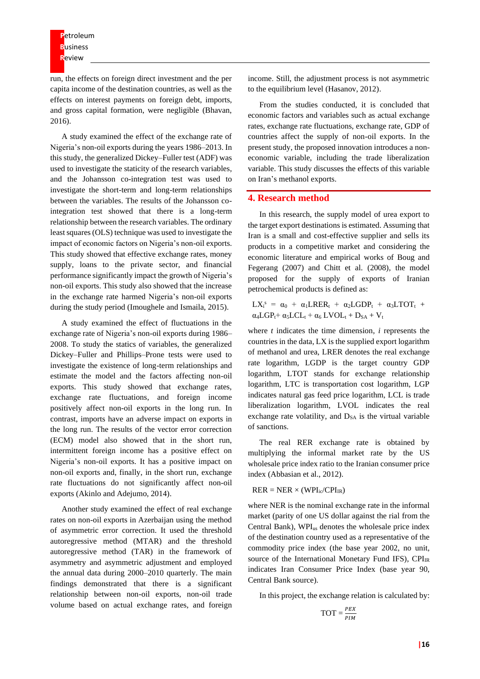run, the effects on foreign direct investment and the per capita income of the destination countries, as well as the effects on interest payments on foreign debt, imports, and gross capital formation, were negligible (Bhavan, 2016).

A study examined the effect of the exchange rate of Nigeria's non-oil exports during the years 1986–2013. In this study, the generalized Dickey–Fuller test (ADF) was used to investigate the staticity of the research variables, and the Johansson co-integration test was used to investigate the short-term and long-term relationships between the variables. The results of the Johansson cointegration test showed that there is a long-term relationship between the research variables. The ordinary least squares (OLS) technique was used to investigate the impact of economic factors on Nigeria's non-oil exports. This study showed that effective exchange rates, money supply, loans to the private sector, and financial performance significantly impact the growth of Nigeria's non-oil exports. This study also showed that the increase in the exchange rate harmed Nigeria's non-oil exports during the study period (Imoughele and Ismaila, 2015).

A study examined the effect of fluctuations in the exchange rate of Nigeria's non-oil exports during 1986– 2008. To study the statics of variables, the generalized Dickey–Fuller and Phillips–Prone tests were used to investigate the existence of long-term relationships and estimate the model and the factors affecting non-oil exports. This study showed that exchange rates, exchange rate fluctuations, and foreign income positively affect non-oil exports in the long run. In contrast, imports have an adverse impact on exports in the long run. The results of the vector error correction (ECM) model also showed that in the short run, intermittent foreign income has a positive effect on Nigeria's non-oil exports. It has a positive impact on non-oil exports and, finally, in the short run, exchange rate fluctuations do not significantly affect non-oil exports (Akinlo and Adejumo, 2014).

Another study examined the effect of real exchange rates on non-oil exports in Azerbaijan using the method of asymmetric error correction. It used the threshold autoregressive method (MTAR) and the threshold autoregressive method (TAR) in the framework of asymmetry and asymmetric adjustment and employed the annual data during 2000–2010 quarterly. The main findings demonstrated that there is a significant relationship between non-oil exports, non-oil trade volume based on actual exchange rates, and foreign

income. Still, the adjustment process is not asymmetric to the equilibrium level (Hasanov, 2012).

From the studies conducted, it is concluded that economic factors and variables such as actual exchange rates, exchange rate fluctuations, exchange rate, GDP of countries affect the supply of non-oil exports. In the present study, the proposed innovation introduces a noneconomic variable, including the trade liberalization variable. This study discusses the effects of this variable on Iran's methanol exports.

### **4. Research method**

In this research, the supply model of urea export to the target export destinations is estimated. Assuming that Iran is a small and cost-effective supplier and sells its products in a competitive market and considering the economic literature and empirical works of Boug and Fegerang (2007) and Chitt et al. (2008), the model proposed for the supply of exports of Iranian petrochemical products is defined as:

$$
LX_i^s = \alpha_0 + \alpha_1 LRER_t + \alpha_2 LGDP_t + \alpha_3 LTOT_t + \alpha_4 LGP_t + \alpha_5 LCL_t + \alpha_6 LVOL_t + D_{SA} + V_t
$$

where *t* indicates the time dimension, *i* represents the countries in the data, LX is the supplied export logarithm of methanol and urea, LRER denotes the real exchange rate logarithm, LGDP is the target country GDP logarithm, LTOT stands for exchange relationship logarithm, LTC is transportation cost logarithm, LGP indicates natural gas feed price logarithm, LCL is trade liberalization logarithm, LVOL indicates the real exchange rate volatility, and  $D<sub>SA</sub>$  is the virtual variable of sanctions.

The real RER exchange rate is obtained by multiplying the informal market rate by the US wholesale price index ratio to the Iranian consumer price index (Abbasian et al., 2012).

#### $RER = NER \times (WPI_{ic}/CPI_{IR})$

where NER is the nominal exchange rate in the informal market (parity of one US dollar against the rial from the Central Bank), WPI<sub>us</sub> denotes the wholesale price index of the destination country used as a representative of the commodity price index (the base year 2002, no unit, source of the International Monetary Fund IFS),  $\text{CPI}_{\text{IR}}$ indicates Iran Consumer Price Index (base year 90, Central Bank source).

In this project, the exchange relation is calculated by:

$$
\text{TOT} = \frac{PEX}{PIM}
$$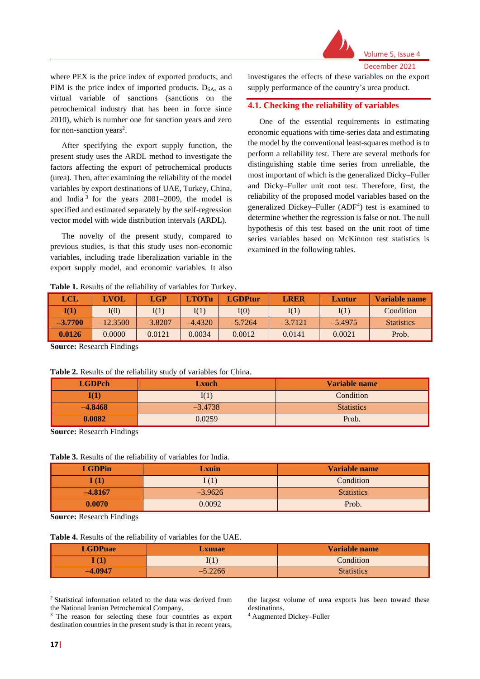

where PEX is the price index of exported products, and PIM is the price index of imported products.  $D_{SA}$ , as a virtual variable of sanctions (sanctions on the petrochemical industry that has been in force since 2010), which is number one for sanction years and zero for non-sanction years<sup>2</sup>.

After specifying the export supply function, the present study uses the ARDL method to investigate the factors affecting the export of petrochemical products (urea). Then, after examining the reliability of the model variables by export destinations of UAE, Turkey, China, and India<sup>3</sup> for the years  $2001-2009$ , the model is specified and estimated separately by the self-regression vector model with wide distribution intervals (ARDL).

The novelty of the present study, compared to previous studies, is that this study uses non-economic variables, including trade liberalization variable in the export supply model, and economic variables. It also investigates the effects of these variables on the export supply performance of the country's urea product.

### **4.1. Checking the reliability of variables**

One of the essential requirements in estimating economic equations with time-series data and estimating the model by the conventional least-squares method is to perform a reliability test. There are several methods for distinguishing stable time series from unreliable, the most important of which is the generalized Dicky–Fuller and Dicky–Fuller unit root test. Therefore, first, the reliability of the proposed model variables based on the generalized Dickey–Fuller (ADF<sup>4</sup>) test is examined to determine whether the regression is false or not. The null hypothesis of this test based on the unit root of time series variables based on McKinnon test statistics is examined in the following tables.

**Table 1.** Results of the reliability of variables for Turkey.

| LCL             | <b>LVOL</b> | <b>LGP</b> | <b>LTOTu</b> | <b>LGDPtur</b> | <b>LRER</b> | Lxutur    | Variable name     |
|-----------------|-------------|------------|--------------|----------------|-------------|-----------|-------------------|
| $\mathbf{I}(1)$ | I(0)        | I(1)       | I(1)         | I(0)           | I(1)        | I(1)      | Condition         |
| $-3.7700$       | $-12.3500$  | $-3.8207$  | -4.4320      | $-5.7264$      | $-3.7121$   | $-5.4975$ | <b>Statistics</b> |
| 0.0126          | 0.0000      | 0.0121     | 0.0034       | 0.0012         | 0.0141      | 0.0021    | Prob.             |

**Source:** Research Findings

#### **Table 2.** Results of the reliability study of variables for China.

| <b>LGDPch</b>   | Lxuch     | Variable name     |
|-----------------|-----------|-------------------|
| $\mathbf{I}(1)$ | I(1)      | Condition         |
| $-4.8468$       | $-3.4738$ | <b>Statistics</b> |
| 0.0082          | 0.0259    | Prob.             |

**Source:** Research Findings

**Table 3.** Results of the reliability of variables for India.

| <b>LGDPin</b> | Lxuin     | Variable name     |
|---------------|-----------|-------------------|
| I(1)          | I(1)      | Condition         |
| $-4.8167$     | $-3.9626$ | <b>Statistics</b> |
| 0.0070        | 0.0092    | Prob.             |

**Source:** Research Findings

#### **Table 4.** Results of the reliability of variables for the UAE.

| <b>LGDPuae</b> | <b>Lxuuae</b> | Variable name     |
|----------------|---------------|-------------------|
| $\bf{T}$       | I(1)          | Condition         |
| $-4.0947$      | $-5.2266$     | <b>Statistics</b> |

<sup>2</sup> Statistical information related to the data was derived from the National Iranian Petrochemical Company.

the largest volume of urea exports has been toward these destinations.

<sup>4</sup> Augmented Dickey–Fuller

<sup>&</sup>lt;sup>3</sup> The reason for selecting these four countries as export destination countries in the present study is that in recent years,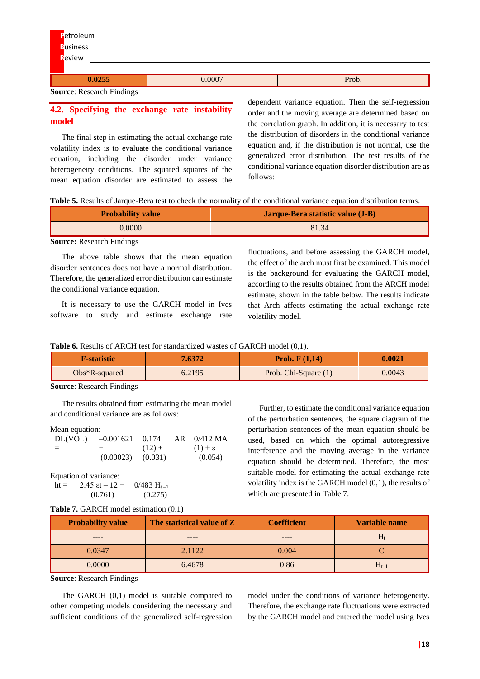| Petroleum<br><b>Business</b><br>Review          |        |       |
|-------------------------------------------------|--------|-------|
|                                                 |        |       |
| 0.0255                                          | 0.0007 | Prob. |
| $\sim$<br>$\sim$ $\sim$ $\sim$ $\sim$<br>$\sim$ |        |       |

**Source**: Research Findings

# **4.2. Specifying the exchange rate instability model**

The final step in estimating the actual exchange rate volatility index is to evaluate the conditional variance equation, including the disorder under variance heterogeneity conditions. The squared squares of the mean equation disorder are estimated to assess the dependent variance equation. Then the self-regression order and the moving average are determined based on the correlation graph. In addition, it is necessary to test the distribution of disorders in the conditional variance equation and, if the distribution is not normal, use the generalized error distribution. The test results of the conditional variance equation disorder distribution are as follows:

|  | <b>Table 5.</b> Results of Jarque-Bera test to check the normality of the conditional variance equation distribution terms. |
|--|-----------------------------------------------------------------------------------------------------------------------------|
|  |                                                                                                                             |

| <b>Probability value</b> | Jarque-Bera statistic value (J-B) |
|--------------------------|-----------------------------------|
| 0.0000                   | 81.34                             |

### **Source:** Research Findings

The above table shows that the mean equation disorder sentences does not have a normal distribution. Therefore, the generalized error distribution can estimate the conditional variance equation.

It is necessary to use the GARCH model in Ives software to study and estimate exchange rate fluctuations, and before assessing the GARCH model, the effect of the arch must first be examined. This model is the background for evaluating the GARCH model, according to the results obtained from the ARCH model estimate, shown in the table below. The results indicate that Arch affects estimating the actual exchange rate volatility model.

### **Table 6.** Results of ARCH test for standardized wastes of GARCH model (0,1).

| 7.6372<br><b>F-statistic</b> |        | <b>Prob.</b> $F(1,14)$ | 0.0021 |
|------------------------------|--------|------------------------|--------|
| $Obs*R$ -squared             | 6.2195 | Prob. Chi-Square (1)   | 0.0043 |

#### **Source**: Research Findings

The results obtained from estimating the mean model and conditional variance are as follows:

#### Mean equation:

| DL(VOL) | $-0.001621$           | 0.174    | $AR$ 0/412 MA       |
|---------|-----------------------|----------|---------------------|
| $=$     | $+$ $ -$              | $(12) +$ | $(1) + \varepsilon$ |
|         | $(0.00023)$ $(0.031)$ |          | (0.054)             |

Equation of variance:

ht = 2.45 εt – 12 + 0/483  $H_{t-1}$  $(0.761)$   $(0.275)$ 

### **Table 7.** GARCH model estimation (0.1)

Further, to estimate the conditional variance equation of the perturbation sentences, the square diagram of the perturbation sentences of the mean equation should be used, based on which the optimal autoregressive interference and the moving average in the variance equation should be determined. Therefore, the most suitable model for estimating the actual exchange rate volatility index is the GARCH model (0,1), the results of which are presented in Table 7.

| <b>Probability value</b> | The statistical value of Z | <b>Coefficient</b> | Variable name |
|--------------------------|----------------------------|--------------------|---------------|
|                          | ----                       |                    | $H_t$         |
| 0.0347                   | 2.1122                     | 0.004              |               |
| 0.0000                   | 6.4678                     | 0.86               | $H_{t-1}$     |

**Source**: Research Findings

The GARCH (0,1) model is suitable compared to other competing models considering the necessary and sufficient conditions of the generalized self-regression model under the conditions of variance heterogeneity. Therefore, the exchange rate fluctuations were extracted by the GARCH model and entered the model using Ives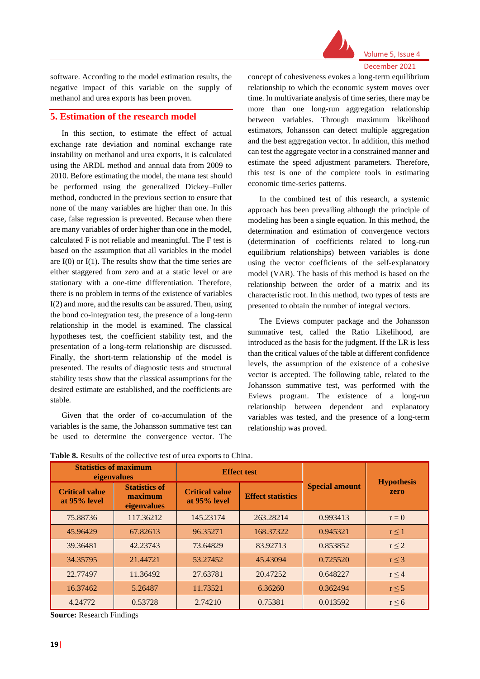

software. According to the model estimation results, the negative impact of this variable on the supply of methanol and urea exports has been proven.

## **5. Estimation of the research model**

In this section, to estimate the effect of actual exchange rate deviation and nominal exchange rate instability on methanol and urea exports, it is calculated using the ARDL method and annual data from 2009 to 2010. Before estimating the model, the mana test should be performed using the generalized Dickey–Fuller method, conducted in the previous section to ensure that none of the many variables are higher than one. In this case, false regression is prevented. Because when there are many variables of order higher than one in the model, calculated F is not reliable and meaningful. The F test is based on the assumption that all variables in the model are  $I(0)$  or  $I(1)$ . The results show that the time series are either staggered from zero and at a static level or are stationary with a one-time differentiation. Therefore, there is no problem in terms of the existence of variables I(2) and more, and the results can be assured. Then, using the bond co-integration test, the presence of a long-term relationship in the model is examined. The classical hypotheses test, the coefficient stability test, and the presentation of a long-term relationship are discussed. Finally, the short-term relationship of the model is presented. The results of diagnostic tests and structural stability tests show that the classical assumptions for the desired estimate are established, and the coefficients are stable.

Given that the order of co-accumulation of the variables is the same, the Johansson summative test can be used to determine the convergence vector. The

concept of cohesiveness evokes a long-term equilibrium relationship to which the economic system moves over time. In multivariate analysis of time series, there may be more than one long-run aggregation relationship between variables. Through maximum likelihood estimators, Johansson can detect multiple aggregation and the best aggregation vector. In addition, this method can test the aggregate vector in a constrained manner and estimate the speed adjustment parameters. Therefore, this test is one of the complete tools in estimating economic time-series patterns.

In the combined test of this research, a systemic approach has been prevailing although the principle of modeling has been a single equation. In this method, the determination and estimation of convergence vectors (determination of coefficients related to long-run equilibrium relationships) between variables is done using the vector coefficients of the self-explanatory model (VAR). The basis of this method is based on the relationship between the order of a matrix and its characteristic root. In this method, two types of tests are presented to obtain the number of integral vectors.

The Eviews computer package and the Johansson summative test, called the Ratio Likelihood, are introduced as the basis for the judgment. If the LR is less than the critical values of the table at different confidence levels, the assumption of the existence of a cohesive vector is accepted. The following table, related to the Johansson summative test, was performed with the Eviews program. The existence of a long-run relationship between dependent and explanatory variables was tested, and the presence of a long-term relationship was proved.

| <b>Statistics of maximum</b>          | eigenvalues                                    |                                       | <b>Effect test</b>       |                       |                           |  |
|---------------------------------------|------------------------------------------------|---------------------------------------|--------------------------|-----------------------|---------------------------|--|
| <b>Critical value</b><br>at 95% level | <b>Statistics of</b><br>maximum<br>eigenvalues | <b>Critical value</b><br>at 95% level | <b>Effect statistics</b> | <b>Special amount</b> | <b>Hypothesis</b><br>zero |  |
| 75.88736                              | 117.36212                                      | 145.23174                             | 263.28214                | 0.993413              | $r = 0$                   |  |
| 45.96429                              | 67.82613                                       | 96.35271                              | 168.37322                | 0.945321              | $r \leq 1$                |  |
| 39.36481                              | 42.23743                                       | 73.64829                              | 83.92713                 | 0.853852              | $r \leq 2$                |  |
| 34.35795                              | 21.44721                                       | 53.27452                              | 45.43094                 | 0.725520              | $r \leq 3$                |  |
| 22.77497                              | 11.36492                                       | 27.63781                              | 20.47252                 | 0.648227              | $r \leq 4$                |  |
| 16.37462                              | 5.26487                                        | 11.73521                              | 6.36260                  | 0.362494              | $r \leq 5$                |  |
| 4.24772                               | 0.53728                                        | 2.74210                               | 0.75381                  | 0.013592              | $r \leq 6$                |  |

**Table 8.** Results of the collective test of urea exports to China.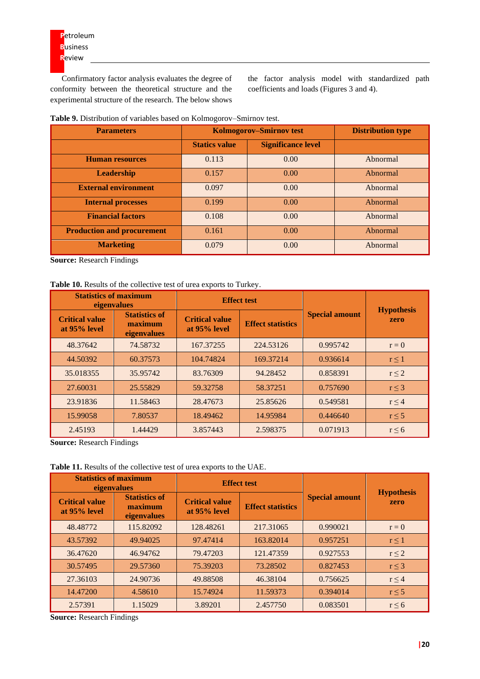Confirmatory factor analysis evaluates the degree of conformity between the theoretical structure and the experimental structure of the research. The below shows

the factor analysis model with standardized path coefficients and loads (Figures 3 and 4).

| Table 9. Distribution of variables based on Kolmogorov-Smirnov test. |  |
|----------------------------------------------------------------------|--|
|----------------------------------------------------------------------|--|

| <b>Parameters</b>                 | <b>Kolmogorov-Smirnov test</b> | <b>Distribution type</b>  |          |
|-----------------------------------|--------------------------------|---------------------------|----------|
|                                   | <b>Statics value</b>           | <b>Significance level</b> |          |
| <b>Human resources</b>            | 0.113                          | 0.00                      | Abnormal |
| <b>Leadership</b>                 | 0.157                          | 0.00                      | Abnormal |
| <b>External environment</b>       | 0.097                          | 0.00                      | Abnormal |
| <b>Internal processes</b>         | 0.199                          | 0.00                      | Abnormal |
| <b>Financial factors</b>          | 0.108                          | 0.00                      | Abnormal |
| <b>Production and procurement</b> | 0.161                          | 0.00                      | Abnormal |
| <b>Marketing</b>                  | 0.079                          | 0.00                      | Abnormal |

**Source:** Research Findings

## **Table 10.** Results of the collective test of urea exports to Turkey.

| <b>Statistics of maximum</b><br>eigenvalues |                                                |                                       | <b>Effect test</b>       |                       | <b>Hypothesis</b> |
|---------------------------------------------|------------------------------------------------|---------------------------------------|--------------------------|-----------------------|-------------------|
| <b>Critical value</b><br>at 95% level       | <b>Statistics of</b><br>maximum<br>eigenvalues | <b>Critical value</b><br>at 95% level | <b>Effect statistics</b> | <b>Special amount</b> | zero              |
| 48.37642                                    | 74.58732                                       | 167.37255                             | 224.53126                | 0.995742              | $r = 0$           |
| 44.50392                                    | 60.37573                                       | 104.74824                             | 169.37214                | 0.936614              | $r \leq 1$        |
| 35.018355                                   | 35.95742                                       | 83.76309                              | 94.28452                 | 0.858391              | $r \leq 2$        |
| 27.60031                                    | 25.55829                                       | 59.32758                              | 58.37251                 | 0.757690              | $r \leq 3$        |
| 23.91836                                    | 11.58463                                       | 28.47673                              | 25.85626                 | 0.549581              | $r \leq 4$        |
| 15.99058                                    | 7.80537                                        | 18.49462                              | 14.95984                 | 0.446640              | $r \leq 5$        |
| 2.45193                                     | 1.44429                                        | 3.857443                              | 2.598375                 | 0.071913              | $r \leq 6$        |

**Source:** Research Findings

**Table 11.** Results of the collective test of urea exports to the UAE.

| <b>Statistics of maximum</b><br>eigenvalues |                                                |                                       | <b>Effect test</b>       |                       |                           |  |
|---------------------------------------------|------------------------------------------------|---------------------------------------|--------------------------|-----------------------|---------------------------|--|
| <b>Critical value</b><br>at 95% level       | <b>Statistics of</b><br>maximum<br>eigenvalues | <b>Critical value</b><br>at 95% level | <b>Effect statistics</b> | <b>Special amount</b> | <b>Hypothesis</b><br>zero |  |
| 48.48772                                    | 115.82092                                      | 128.48261                             | 217.31065                | 0.990021              | $r = 0$                   |  |
| 43.57392                                    | 49.94025                                       | 97.47414                              | 163.82014                | 0.957251              | $r \leq 1$                |  |
| 36.47620                                    | 46.94762                                       | 79.47203                              | 121.47359                | 0.927553              | $r \leq 2$                |  |
| 30.57495                                    | 29.57360                                       | 75.39203                              | 73.28502                 | 0.827453              | $r \leq 3$                |  |
| 27.36103                                    | 24.90736                                       | 49.88508                              | 46.38104                 | 0.756625              | $r \leq 4$                |  |
| 14.47200                                    | 4.58610                                        | 15.74924                              | 11.59373                 | 0.394014              | $r \leq 5$                |  |
| 2.57391                                     | 1.15029                                        | 3.89201                               | 2.457750                 | 0.083501              | $r \leq 6$                |  |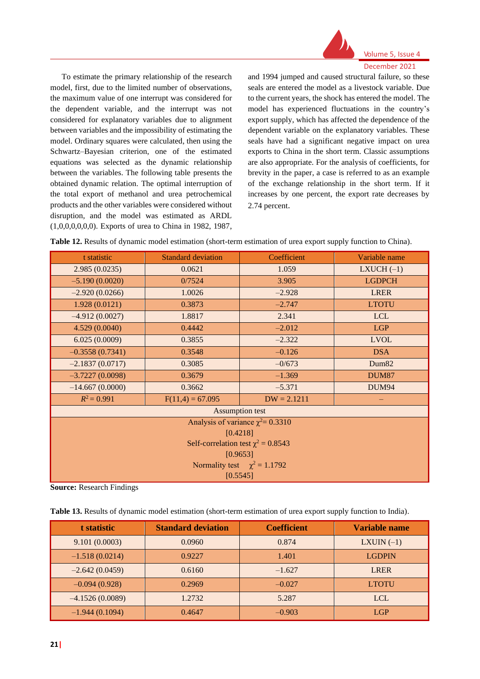

To estimate the primary relationship of the research model, first, due to the limited number of observations, the maximum value of one interrupt was considered for the dependent variable, and the interrupt was not considered for explanatory variables due to alignment between variables and the impossibility of estimating the model. Ordinary squares were calculated, then using the Schwartz–Bayesian criterion, one of the estimated equations was selected as the dynamic relationship between the variables. The following table presents the obtained dynamic relation. The optimal interruption of the total export of methanol and urea petrochemical products and the other variables were considered without disruption, and the model was estimated as ARDL (1,0,0,0,0,0,0). Exports of urea to China in 1982, 1987,

and 1994 jumped and caused structural failure, so these seals are entered the model as a livestock variable. Due to the current years, the shock has entered the model. The model has experienced fluctuations in the country's export supply, which has affected the dependence of the dependent variable on the explanatory variables. These seals have had a significant negative impact on urea exports to China in the short term. Classic assumptions are also appropriate. For the analysis of coefficients, for brevity in the paper, a case is referred to as an example of the exchange relationship in the short term. If it increases by one percent, the export rate decreases by 2.74 percent.

| Table 12. Results of dynamic model estimation (short-term estimation of urea export supply function to China). |  |  |
|----------------------------------------------------------------------------------------------------------------|--|--|
|----------------------------------------------------------------------------------------------------------------|--|--|

| t statistic       | <b>Standard deviation</b>               | Coefficient                            | Variable name     |  |  |  |
|-------------------|-----------------------------------------|----------------------------------------|-------------------|--|--|--|
| 2.985(0.0235)     | 0.0621                                  | 1.059                                  | $LXUCH (-1)$      |  |  |  |
| $-5.190(0.0020)$  | 0/7524                                  | 3.905                                  | <b>LGDPCH</b>     |  |  |  |
| $-2.920(0.0266)$  | 1.0026                                  | $-2.928$                               | <b>LRER</b>       |  |  |  |
| 1.928(0.0121)     | 0.3873                                  | $-2.747$                               | <b>LTOTU</b>      |  |  |  |
| $-4.912(0.0027)$  | 1.8817                                  | 2.341                                  | <b>LCL</b>        |  |  |  |
| 4.529(0.0040)     | 0.4442                                  | $-2.012$                               | <b>LGP</b>        |  |  |  |
| 6.025(0.0009)     | 0.3855                                  | $-2.322$                               | <b>LVOL</b>       |  |  |  |
| $-0.3558(0.7341)$ | 0.3548                                  | $-0.126$                               | <b>DSA</b>        |  |  |  |
| $-2.1837(0.0717)$ | 0.3085                                  | $-0/673$                               | Dum <sub>82</sub> |  |  |  |
| $-3.7227(0.0098)$ | 0.3679                                  | $-1.369$                               | <b>DUM87</b>      |  |  |  |
| $-14.667(0.0000)$ | 0.3662                                  | $-5.371$                               | <b>DUM94</b>      |  |  |  |
| $R^2 = 0.991$     | $F(11,4) = 67.095$                      | $DW = 2.1211$                          |                   |  |  |  |
|                   |                                         | <b>Assumption test</b>                 |                   |  |  |  |
|                   |                                         | Analysis of variance $\chi^2$ = 0.3310 |                   |  |  |  |
|                   |                                         | [0.4218]                               |                   |  |  |  |
|                   | Self-correlation test $\chi^2 = 0.8543$ |                                        |                   |  |  |  |
| [0.9653]          |                                         |                                        |                   |  |  |  |
|                   |                                         | Normality test $\chi^2 = 1.1792$       |                   |  |  |  |
|                   |                                         | [0.5545]                               |                   |  |  |  |

|  | Table 13. Results of dynamic model estimation (short-term estimation of urea export supply function to India). |
|--|----------------------------------------------------------------------------------------------------------------|
|  |                                                                                                                |

| t statistic       | <b>Standard deviation</b> | <b>Coefficient</b> | <b>Variable name</b> |
|-------------------|---------------------------|--------------------|----------------------|
| 9.101(0.0003)     | 0.0960                    | 0.874              | LXUIN $(-1)$         |
| $-1.518(0.0214)$  | 0.9227                    | 1.401              | <b>LGDPIN</b>        |
| $-2.642(0.0459)$  | 0.6160                    | $-1.627$           | <b>LRER</b>          |
| $-0.094(0.928)$   | 0.2969                    | $-0.027$           | <b>LTOTU</b>         |
| $-4.1526(0.0089)$ | 1.2732                    | 5.287              | <b>LCL</b>           |
| $-1.944(0.1094)$  | 0.4647                    | $-0.903$           | LGP                  |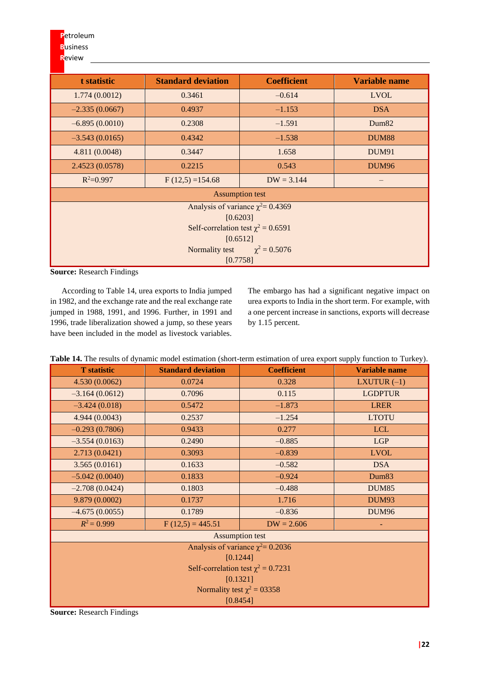**P**etroleum **B**usiness

**R**eview

# **t statistic Standard deviation Coefficient Variable name** 1.774 (0.0012) 0.3461 – 0.614 LVOL  $-2.335(0.0667)$  0.4937 – 1.153 – DSA  $-6.895(0.0010)$  0.2308  $-1.591$  Dum82  $-3.543$  (0.0165) 0.4342 –  $-1.538$  DUM88 4.811 (0.0048) 0.3447 1.658 DUM91 2.4523 (0.0578) 0.2215 0.543 DUM96  $F(12,5) = 154.68$  DW = 3.144 –  $R^2 = 0.997$ Assumption test Analysis of variance  $\chi^2$  = 0.4369 [0.6203] Self-correlation test  $\chi^2 = 0.6591$ [0.6512] Normality test  $\chi^2 = 0.5076$ [0.7758]

**Source:** Research Findings

According to Table 14, urea exports to India jumped in 1982, and the exchange rate and the real exchange rate jumped in 1988, 1991, and 1996. Further, in 1991 and 1996, trade liberalization showed a jump, so these years have been included in the model as livestock variables.

The embargo has had a significant negative impact on urea exports to India in the short term. For example, with a one percent increase in sanctions, exports will decrease by 1.15 percent.

| Table 14. The results of dynamic model estimation (short-term estimation of urea export supply function to Turkey). |  |  |
|---------------------------------------------------------------------------------------------------------------------|--|--|
|                                                                                                                     |  |  |

| <b>T</b> statistic | <b>Standard deviation</b>        | <b>Coefficient</b>                      | r r v<br>$\overline{\phantom{a}}$<br><b>Variable name</b> |
|--------------------|----------------------------------|-----------------------------------------|-----------------------------------------------------------|
| 4.530 (0.0062)     | 0.0724                           | 0.328                                   | LXUTUR $(-1)$                                             |
| $-3.164(0.0612)$   | 0.7096                           | 0.115                                   | <b>LGDPTUR</b>                                            |
| $-3.424(0.018)$    | 0.5472                           | $-1.873$                                | <b>LRER</b>                                               |
| 4.944 (0.0043)     | 0.2537                           | $-1.254$                                | <b>LTOTU</b>                                              |
| $-0.293(0.7806)$   | 0.9433                           | 0.277                                   | <b>LCL</b>                                                |
| $-3.554(0.0163)$   | 0.2490                           | $-0.885$                                | <b>LGP</b>                                                |
| 2.713(0.0421)      | 0.3093                           | $-0.839$                                | <b>LVOL</b>                                               |
| 3.565(0.0161)      | 0.1633                           | $-0.582$                                | <b>DSA</b>                                                |
| $-5.042(0.0040)$   | 0.1833                           | $-0.924$                                | Dum <sub>83</sub>                                         |
| $-2.708(0.0424)$   | 0.1803                           | $-0.488$                                | <b>DUM85</b>                                              |
| 9.879 (0.0002)     | 0.1737                           | 1.716                                   | <b>DUM93</b>                                              |
| $-4.675(0.0055)$   | 0.1789                           | $-0.836$                                | <b>DUM96</b>                                              |
| $R^2 = 0.999$      | $F(12,5) = 445.51$               | $DW = 2.606$                            |                                                           |
|                    |                                  | <b>Assumption test</b>                  |                                                           |
|                    |                                  | Analysis of variance $\chi^2$ = 0.2036  |                                                           |
|                    |                                  | [0.1244]                                |                                                           |
|                    |                                  | Self-correlation test $\chi^2 = 0.7231$ |                                                           |
|                    |                                  | [0.1321]                                |                                                           |
|                    | Normality test $\chi^2 = 0.3358$ |                                         |                                                           |
|                    |                                  | [0.8454]                                |                                                           |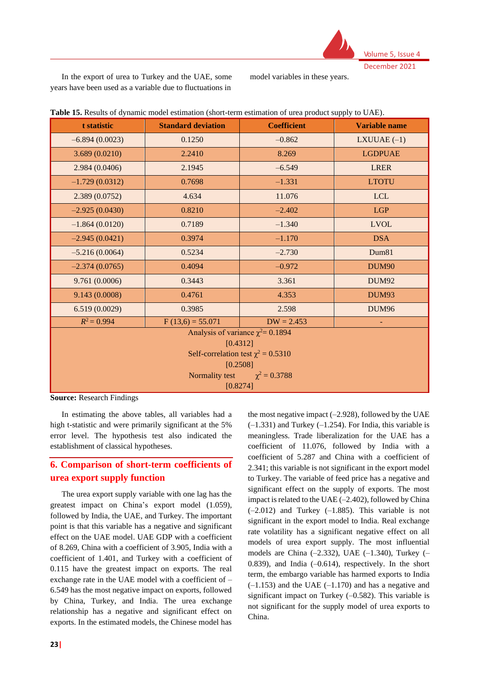

In the export of urea to Turkey and the UAE, some years have been used as a variable due to fluctuations in model variables in these years.

| t statistic                             | <b>Standard deviation</b> | <b>Coefficient</b>                     | <b>Variable name</b> |  |  |  |  |
|-----------------------------------------|---------------------------|----------------------------------------|----------------------|--|--|--|--|
| $-6.894(0.0023)$                        | 0.1250                    | $-0.862$                               | LXUUAE $(-1)$        |  |  |  |  |
| 3.689(0.0210)                           | 2.2410                    | 8.269                                  | <b>LGDPUAE</b>       |  |  |  |  |
| 2.984(0.0406)                           | 2.1945                    | $-6.549$                               | <b>LRER</b>          |  |  |  |  |
| $-1.729(0.0312)$                        | 0.7698                    | $-1.331$                               | <b>LTOTU</b>         |  |  |  |  |
| 2.389(0.0752)                           | 4.634                     | 11.076                                 | <b>LCL</b>           |  |  |  |  |
| $-2.925(0.0430)$                        | 0.8210                    | $-2.402$                               | <b>LGP</b>           |  |  |  |  |
| $-1.864(0.0120)$                        | 0.7189                    | $-1.340$                               | <b>LVOL</b>          |  |  |  |  |
| $-2.945(0.0421)$                        | 0.3974                    | $-1.170$                               | <b>DSA</b>           |  |  |  |  |
| $-5.216(0.0064)$                        | 0.5234                    | $-2.730$                               | Dum81                |  |  |  |  |
| $-2.374(0.0765)$                        | 0.4094                    | $-0.972$                               | <b>DUM90</b>         |  |  |  |  |
| 9.761 (0.0006)                          | 0.3443                    | 3.361                                  | <b>DUM92</b>         |  |  |  |  |
| 9.143 (0.0008)                          | 0.4761                    | 4.353                                  | <b>DUM93</b>         |  |  |  |  |
| 6.519(0.0029)                           | 0.3985                    | 2.598                                  | <b>DUM96</b>         |  |  |  |  |
| $R^2 = 0.994$                           | $F(13,6) = 55.071$        | $DW = 2.453$                           | L,                   |  |  |  |  |
|                                         |                           | Analysis of variance $\chi^2$ = 0.1894 |                      |  |  |  |  |
| [0.4312]                                |                           |                                        |                      |  |  |  |  |
| Self-correlation test $\chi^2 = 0.5310$ |                           |                                        |                      |  |  |  |  |
|                                         | [0.2508]                  |                                        |                      |  |  |  |  |
|                                         | Normality test            | $\chi^2 = 0.3788$                      |                      |  |  |  |  |
|                                         | [0.8274]                  |                                        |                      |  |  |  |  |

**Table 15.** Results of dynamic model estimation (short-term estimation of urea product supply to UAE).

**Source:** Research Findings

In estimating the above tables, all variables had a high t-statistic and were primarily significant at the 5% error level. The hypothesis test also indicated the establishment of classical hypotheses.

# **6. Comparison of short-term coefficients of urea export supply function**

The urea export supply variable with one lag has the greatest impact on China's export model (1.059), followed by India, the UAE, and Turkey. The important point is that this variable has a negative and significant effect on the UAE model. UAE GDP with a coefficient of 8.269, China with a coefficient of 3.905, India with a coefficient of 1.401, and Turkey with a coefficient of 0.115 have the greatest impact on exports. The real exchange rate in the UAE model with a coefficient of – 6.549 has the most negative impact on exports, followed by China, Turkey, and India. The urea exchange relationship has a negative and significant effect on exports. In the estimated models, the Chinese model has

the most negative impact  $(-2.928)$ , followed by the UAE  $(-1.331)$  and Turkey  $(-1.254)$ . For India, this variable is meaningless. Trade liberalization for the UAE has a coefficient of 11.076, followed by India with a coefficient of 5.287 and China with a coefficient of 2.341; this variable is not significant in the export model to Turkey. The variable of feed price has a negative and significant effect on the supply of exports. The most impact is related to the UAE  $(-2.402)$ , followed by China  $(-2.012)$  and Turkey  $(-1.885)$ . This variable is not significant in the export model to India. Real exchange rate volatility has a significant negative effect on all models of urea export supply. The most influential models are China  $(-2.332)$ , UAE  $(-1.340)$ , Turkey  $(-$ 0.839), and India  $(-0.614)$ , respectively. In the short term, the embargo variable has harmed exports to India  $(-1.153)$  and the UAE  $(-1.170)$  and has a negative and significant impact on Turkey (–0.582). This variable is not significant for the supply model of urea exports to China.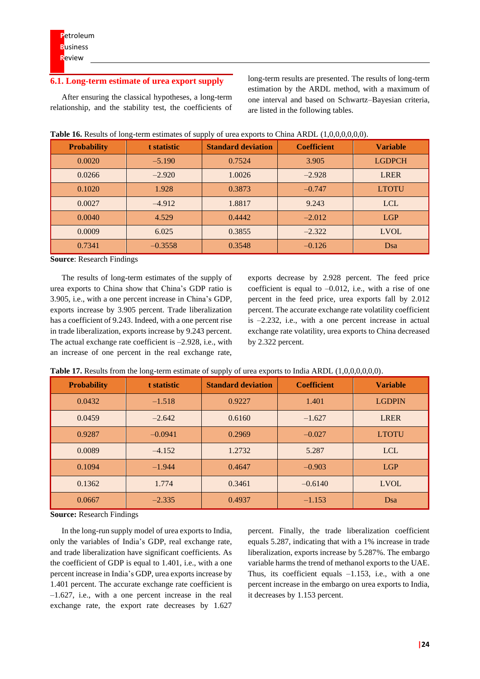### **6.1. Long-term estimate of urea export supply**

After ensuring the classical hypotheses, a long-term relationship, and the stability test, the coefficients of long-term results are presented. The results of long-term estimation by the ARDL method, with a maximum of one interval and based on Schwartz–Bayesian criteria, are listed in the following tables.

| <b>Probability</b> | t statistic | <b>Standard deviation</b> | <b>Coefficient</b> | <b>Variable</b> |
|--------------------|-------------|---------------------------|--------------------|-----------------|
| 0.0020             | $-5.190$    | 0.7524                    | 3.905              | <b>LGDPCH</b>   |
| 0.0266             | $-2.920$    | 1.0026                    | $-2.928$           | <b>LRER</b>     |
| 0.1020             | 1.928       | 0.3873                    | $-0.747$           | <b>LTOTU</b>    |
| 0.0027             | $-4.912$    | 1.8817                    | 9.243              | <b>LCL</b>      |
| 0.0040             | 4.529       | 0.4442                    | $-2.012$           | <b>LGP</b>      |
| 0.0009             | 6.025       | 0.3855                    | $-2.322$           | <b>LVOL</b>     |
| 0.7341             | $-0.3558$   | 0.3548                    | $-0.126$           | Dsa             |

**Table 16.** Results of long-term estimates of supply of urea exports to China ARDL (1,0,0,0,0,0,0).

**Source**: Research Findings

The results of long-term estimates of the supply of urea exports to China show that China's GDP ratio is 3.905, i.e., with a one percent increase in China's GDP, exports increase by 3.905 percent. Trade liberalization has a coefficient of 9.243. Indeed, with a one percent rise in trade liberalization, exports increase by 9.243 percent. The actual exchange rate coefficient is –2.928, i.e., with an increase of one percent in the real exchange rate,

exports decrease by 2.928 percent. The feed price coefficient is equal to  $-0.012$ , i.e., with a rise of one percent in the feed price, urea exports fall by 2.012 percent. The accurate exchange rate volatility coefficient is –2.232, i.e., with a one percent increase in actual exchange rate volatility, urea exports to China decreased by 2.322 percent.

|  |  |  |  |  | Table 17. Results from the long-term estimate of supply of urea exports to India ARDL (1,0,0,0,0,0,0). |  |  |  |
|--|--|--|--|--|--------------------------------------------------------------------------------------------------------|--|--|--|
|  |  |  |  |  |                                                                                                        |  |  |  |

| <b>Probability</b> | t statistic | <b>Standard deviation</b> | <b>Coefficient</b> | <b>Variable</b> |
|--------------------|-------------|---------------------------|--------------------|-----------------|
| 0.0432             | $-1.518$    | 0.9227                    | 1.401              | <b>LGDPIN</b>   |
| 0.0459             | $-2.642$    | 0.6160                    | $-1.627$           | <b>LRER</b>     |
| 0.9287             | $-0.0941$   | 0.2969                    | $-0.027$           | <b>LTOTU</b>    |
| 0.0089             | $-4.152$    | 1.2732                    | 5.287              | <b>LCL</b>      |
| 0.1094             | $-1.944$    | 0.4647                    | $-0.903$           | <b>LGP</b>      |
| 0.1362             | 1.774       | 0.3461                    | $-0.6140$          | <b>LVOL</b>     |
| 0.0667             | $-2.335$    | 0.4937                    | $-1.153$           | Dsa             |

**Source:** Research Findings

In the long-run supply model of urea exports to India, only the variables of India's GDP, real exchange rate, and trade liberalization have significant coefficients. As the coefficient of GDP is equal to 1.401, i.e., with a one percent increase in India's GDP, urea exports increase by 1.401 percent. The accurate exchange rate coefficient is  $-1.627$ , i.e., with a one percent increase in the real exchange rate, the export rate decreases by 1.627

percent. Finally, the trade liberalization coefficient equals 5.287, indicating that with a 1% increase in trade liberalization, exports increase by 5.287%. The embargo variable harms the trend of methanol exports to the UAE. Thus, its coefficient equals  $-1.153$ , i.e., with a one percent increase in the embargo on urea exports to India, it decreases by 1.153 percent.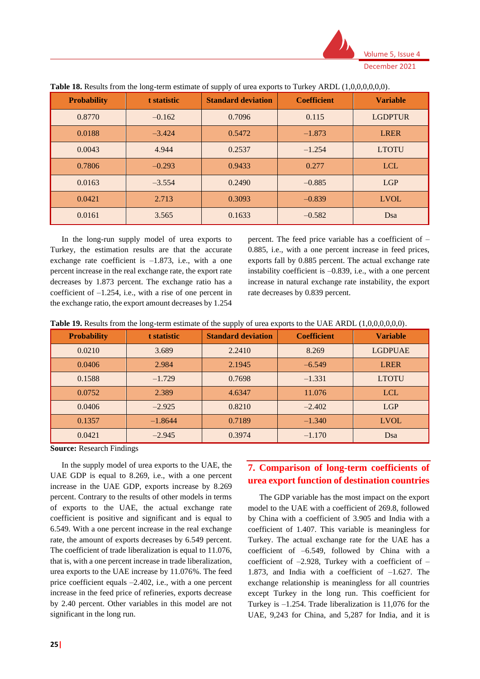

| <b>Probability</b> | t statistic | <b>Standard deviation</b> | <b>Coefficient</b> | <b>Variable</b> |
|--------------------|-------------|---------------------------|--------------------|-----------------|
| 0.8770             | $-0.162$    | 0.7096                    | 0.115              | <b>LGDPTUR</b>  |
| 0.0188             | $-3.424$    | 0.5472                    | $-1.873$           | <b>LRER</b>     |
| 0.0043             | 4.944       | 0.2537                    | $-1.254$           | <b>LTOTU</b>    |
| 0.7806             | $-0.293$    | 0.9433                    | 0.277              | <b>LCL</b>      |
| 0.0163             | $-3.554$    | 0.2490                    | $-0.885$           | <b>LGP</b>      |
| 0.0421             | 2.713       | 0.3093                    | $-0.839$           | <b>LVOL</b>     |
| 0.0161             | 3.565       | 0.1633                    | $-0.582$           | Dsa             |

| Table 18. Results from the long-term estimate of supply of urea exports to Turkey ARDL (1,0,0,0,0,0,0). |
|---------------------------------------------------------------------------------------------------------|
|---------------------------------------------------------------------------------------------------------|

In the long-run supply model of urea exports to Turkey, the estimation results are that the accurate exchange rate coefficient is  $-1.873$ , i.e., with a one percent increase in the real exchange rate, the export rate decreases by 1.873 percent. The exchange ratio has a coefficient of –1.254, i.e., with a rise of one percent in the exchange ratio, the export amount decreases by 1.254

percent. The feed price variable has a coefficient of – 0.885, i.e., with a one percent increase in feed prices, exports fall by 0.885 percent. The actual exchange rate instability coefficient is –0.839, i.e., with a one percent increase in natural exchange rate instability, the export rate decreases by 0.839 percent.

|  |  | Table 19. Results from the long-term estimate of the supply of urea exports to the UAE ARDL (1,0,0,0,0,0,0). |  |  |
|--|--|--------------------------------------------------------------------------------------------------------------|--|--|
|--|--|--------------------------------------------------------------------------------------------------------------|--|--|

| <b>Probability</b> | t statistic | <b>Standard deviation</b> | <b>Coefficient</b> | <b>Variable</b> |
|--------------------|-------------|---------------------------|--------------------|-----------------|
| 0.0210             | 3.689       | 2.2410                    | 8.269              | <b>LGDPUAE</b>  |
| 0.0406             | 2.984       | 2.1945                    | $-6.549$           | <b>LRER</b>     |
| 0.1588             | $-1.729$    | 0.7698                    | $-1.331$           | <b>LTOTU</b>    |
| 0.0752             | 2.389       | 4.6347                    | 11.076             | <b>LCL</b>      |
| 0.0406             | $-2.925$    | 0.8210                    | $-2.402$           | LGP             |
| 0.1357             | $-1.8644$   | 0.7189                    | $-1.340$           | <b>LVOL</b>     |
| 0.0421             | $-2.945$    | 0.3974                    | $-1.170$           | Dsa             |

**Source:** Research Findings

In the supply model of urea exports to the UAE, the UAE GDP is equal to 8.269, i.e., with a one percent increase in the UAE GDP, exports increase by 8.269 percent. Contrary to the results of other models in terms of exports to the UAE, the actual exchange rate coefficient is positive and significant and is equal to 6.549. With a one percent increase in the real exchange rate, the amount of exports decreases by 6.549 percent. The coefficient of trade liberalization is equal to 11.076, that is, with a one percent increase in trade liberalization, urea exports to the UAE increase by 11.076%. The feed price coefficient equals –2.402, i.e., with a one percent increase in the feed price of refineries, exports decrease by 2.40 percent. Other variables in this model are not significant in the long run.

# **7. Comparison of long-term coefficients of urea export function of destination countries**

The GDP variable has the most impact on the export model to the UAE with a coefficient of 269.8, followed by China with a coefficient of 3.905 and India with a coefficient of 1.407. This variable is meaningless for Turkey. The actual exchange rate for the UAE has a coefficient of –6.549, followed by China with a coefficient of  $-2.928$ , Turkey with a coefficient of  $-$ 1.873, and India with a coefficient of –1.627. The exchange relationship is meaningless for all countries except Turkey in the long run. This coefficient for Turkey is  $-1.254$ . Trade liberalization is 11,076 for the UAE, 9,243 for China, and 5,287 for India, and it is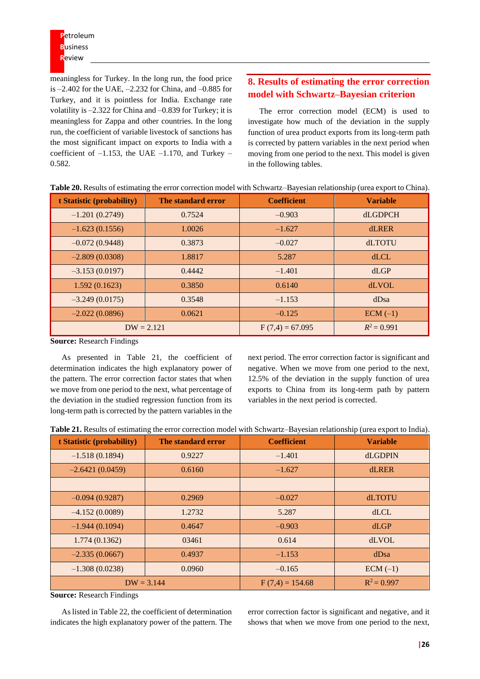meaningless for Turkey. In the long run, the food price is –2.402 for the UAE, –2.232 for China, and –0.885 for Turkey, and it is pointless for India. Exchange rate volatility is –2.322 for China and –0.839 for Turkey; it is meaningless for Zappa and other countries. In the long run, the coefficient of variable livestock of sanctions has the most significant impact on exports to India with a coefficient of  $-1.153$ , the UAE  $-1.170$ , and Turkey – 0.582.

# **8. Results of estimating the error correction model with Schwartz–Bayesian criterion**

The error correction model (ECM) is used to investigate how much of the deviation in the supply function of urea product exports from its long-term path is corrected by pattern variables in the next period when moving from one period to the next. This model is given in the following tables.

| t Statistic (probability) | The standard error | <b>Coefficient</b> | <b>Variable</b> |
|---------------------------|--------------------|--------------------|-----------------|
| $-1.201(0.2749)$          | 0.7524             | $-0.903$           | <b>dLGDPCH</b>  |
| $-1.623(0.1556)$          | 1.0026             | $-1.627$           | <b>dLRER</b>    |
| $-0.072(0.9448)$          | 0.3873             | $-0.027$           | <b>dLTOTU</b>   |
| $-2.809(0.0308)$          | 1.8817             | 5.287              | dLCL            |
| $-3.153(0.0197)$          | 0.4442             | $-1.401$           | dLGP            |
| 1.592(0.1623)             | 0.3850             | 0.6140             | <b>dLVOL</b>    |
| $-3.249(0.0175)$          | 0.3548             | $-1.153$           | dDsa            |
| $-2.022(0.0896)$          | 0.0621             | $-0.125$           | $ECM(-1)$       |
|                           | $DW = 2.121$       | $F(7,4) = 67.095$  | $R^2 = 0.991$   |

**Table 20.** Results of estimating the error correction model with Schwartz–Bayesian relationship (urea export to China).

**Source:** Research Findings

As presented in Table 21, the coefficient of determination indicates the high explanatory power of the pattern. The error correction factor states that when we move from one period to the next, what percentage of the deviation in the studied regression function from its long-term path is corrected by the pattern variables in the

next period. The error correction factor is significant and negative. When we move from one period to the next, 12.5% of the deviation in the supply function of urea exports to China from its long-term path by pattern variables in the next period is corrected.

|  | Table 21. Results of estimating the error correction model with Schwartz–Bayesian relationship (urea export to India). |  |  |  |
|--|------------------------------------------------------------------------------------------------------------------------|--|--|--|
|--|------------------------------------------------------------------------------------------------------------------------|--|--|--|

| t Statistic (probability) | The standard error | <b>Coefficient</b> | <b>Variable</b> |
|---------------------------|--------------------|--------------------|-----------------|
| $-1.518(0.1894)$          | 0.9227             | $-1.401$           | <b>dLGDPIN</b>  |
| $-2.6421(0.0459)$         | 0.6160             | $-1.627$           | <b>dLRER</b>    |
|                           |                    |                    |                 |
| $-0.094(0.9287)$          | 0.2969             | $-0.027$           | dLTOTU          |
| $-4.152(0.0089)$          | 1.2732             | 5.287              | dLCL            |
| $-1.944(0.1094)$          | 0.4647             | $-0.903$           | dLGP            |
| 1.774(0.1362)             | 03461              | 0.614              | <b>dLVOL</b>    |
| $-2.335(0.0667)$          | 0.4937             | $-1.153$           | dDsa            |
| $-1.308(0.0238)$          | 0.0960             | $-0.165$           | $ECM(-1)$       |
| $DW = 3.144$              |                    | $F(7,4) = 154.68$  | $R^2 = 0.997$   |

**Source:** Research Findings

As listed in Table 22, the coefficient of determination indicates the high explanatory power of the pattern. The error correction factor is significant and negative, and it shows that when we move from one period to the next,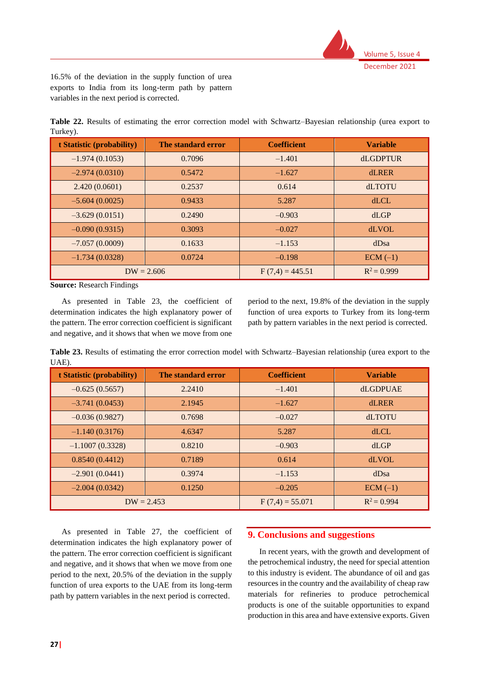

16.5% of the deviation in the supply function of urea exports to India from its long-term path by pattern variables in the next period is corrected.

**Table 22.** Results of estimating the error correction model with Schwartz–Bayesian relationship (urea export to Turkey).

| t Statistic (probability) | The standard error | <b>Coefficient</b> | <b>Variable</b> |
|---------------------------|--------------------|--------------------|-----------------|
| $-1.974(0.1053)$          | 0.7096             | $-1.401$           | <b>dLGDPTUR</b> |
| $-2.974(0.0310)$          | 0.5472             | $-1.627$           | <b>dLRER</b>    |
| 2.420(0.0601)             | 0.2537             | 0.614              | <b>dLTOTU</b>   |
| $-5.604(0.0025)$          | 0.9433             | 5.287              | dLCL            |
| $-3.629(0.0151)$          | 0.2490             | $-0.903$           | dLGP            |
| $-0.090(0.9315)$          | 0.3093             | $-0.027$           | <b>dLVOL</b>    |
| $-7.057(0.0009)$          | 0.1633             | $-1.153$           | dDsa            |
| $-1.734(0.0328)$          | 0.0724             | $-0.198$           | $ECM(-1)$       |
| $DW = 2.606$              |                    | $F(7,4) = 445.51$  | $R^2 = 0.999$   |

**Source:** Research Findings

As presented in Table 23, the coefficient of determination indicates the high explanatory power of the pattern. The error correction coefficient is significant and negative, and it shows that when we move from one

period to the next, 19.8% of the deviation in the supply function of urea exports to Turkey from its long-term path by pattern variables in the next period is corrected.

**Table 23.** Results of estimating the error correction model with Schwartz–Bayesian relationship (urea export to the UAE).

| t Statistic (probability) | The standard error | <b>Coefficient</b> | <b>Variable</b> |
|---------------------------|--------------------|--------------------|-----------------|
| $-0.625(0.5657)$          | 2.2410             | $-1.401$           | dLGDPUAE        |
| $-3.741(0.0453)$          | 2.1945             | $-1.627$           | <b>dLRER</b>    |
| $-0.036(0.9827)$          | 0.7698             | $-0.027$           | <b>dLTOTU</b>   |
| $-1.140(0.3176)$          | 4.6347             | 5.287              | dLCL            |
| $-1.1007(0.3328)$         | 0.8210             | $-0.903$           | dLGP            |
| 0.8540(0.4412)            | 0.7189             | 0.614              | <b>dLVOL</b>    |
| $-2.901(0.0441)$          | 0.3974             | $-1.153$           | dDsa            |
| $-2.004(0.0342)$          | 0.1250             | $-0.205$           | $ECM(-1)$       |
|                           | $DW = 2.453$       | $F(7,4) = 55.071$  | $R^2 = 0.994$   |

As presented in Table 27, the coefficient of determination indicates the high explanatory power of the pattern. The error correction coefficient is significant and negative, and it shows that when we move from one period to the next, 20.5% of the deviation in the supply function of urea exports to the UAE from its long-term path by pattern variables in the next period is corrected.

# **9. Conclusions and suggestions**

In recent years, with the growth and development of the petrochemical industry, the need for special attention to this industry is evident. The abundance of oil and gas resources in the country and the availability of cheap raw materials for refineries to produce petrochemical products is one of the suitable opportunities to expand production in this area and have extensive exports. Given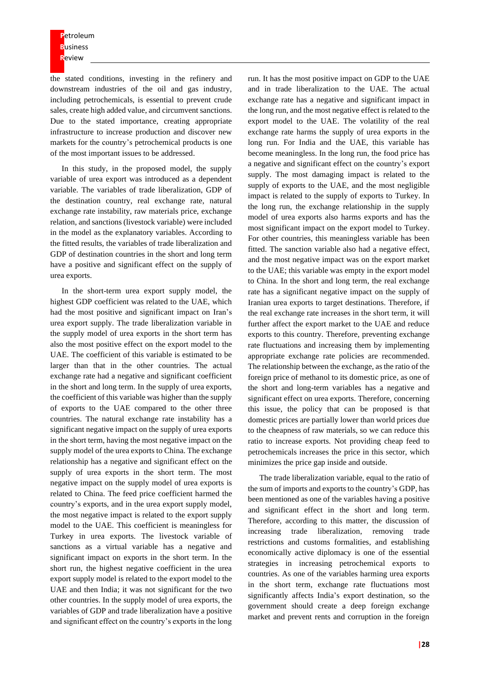the stated conditions, investing in the refinery and downstream industries of the oil and gas industry, including petrochemicals, is essential to prevent crude sales, create high added value, and circumvent sanctions. Due to the stated importance, creating appropriate infrastructure to increase production and discover new markets for the country's petrochemical products is one of the most important issues to be addressed.

In this study, in the proposed model, the supply variable of urea export was introduced as a dependent variable. The variables of trade liberalization, GDP of the destination country, real exchange rate, natural exchange rate instability, raw materials price, exchange relation, and sanctions (livestock variable) were included in the model as the explanatory variables. According to the fitted results, the variables of trade liberalization and GDP of destination countries in the short and long term have a positive and significant effect on the supply of urea exports.

In the short-term urea export supply model, the highest GDP coefficient was related to the UAE, which had the most positive and significant impact on Iran's urea export supply. The trade liberalization variable in the supply model of urea exports in the short term has also the most positive effect on the export model to the UAE. The coefficient of this variable is estimated to be larger than that in the other countries. The actual exchange rate had a negative and significant coefficient in the short and long term. In the supply of urea exports, the coefficient of this variable was higher than the supply of exports to the UAE compared to the other three countries. The natural exchange rate instability has a significant negative impact on the supply of urea exports in the short term, having the most negative impact on the supply model of the urea exports to China. The exchange relationship has a negative and significant effect on the supply of urea exports in the short term. The most negative impact on the supply model of urea exports is related to China. The feed price coefficient harmed the country's exports, and in the urea export supply model, the most negative impact is related to the export supply model to the UAE. This coefficient is meaningless for Turkey in urea exports. The livestock variable of sanctions as a virtual variable has a negative and significant impact on exports in the short term. In the short run, the highest negative coefficient in the urea export supply model is related to the export model to the UAE and then India; it was not significant for the two other countries. In the supply model of urea exports, the variables of GDP and trade liberalization have a positive and significant effect on the country's exports in the long

run. It has the most positive impact on GDP to the UAE and in trade liberalization to the UAE. The actual exchange rate has a negative and significant impact in the long run, and the most negative effect is related to the export model to the UAE. The volatility of the real exchange rate harms the supply of urea exports in the long run. For India and the UAE, this variable has become meaningless. In the long run, the food price has a negative and significant effect on the country's export supply. The most damaging impact is related to the supply of exports to the UAE, and the most negligible impact is related to the supply of exports to Turkey. In the long run, the exchange relationship in the supply model of urea exports also harms exports and has the most significant impact on the export model to Turkey. For other countries, this meaningless variable has been fitted. The sanction variable also had a negative effect, and the most negative impact was on the export market to the UAE; this variable was empty in the export model to China. In the short and long term, the real exchange rate has a significant negative impact on the supply of Iranian urea exports to target destinations. Therefore, if the real exchange rate increases in the short term, it will further affect the export market to the UAE and reduce exports to this country. Therefore, preventing exchange rate fluctuations and increasing them by implementing appropriate exchange rate policies are recommended. The relationship between the exchange, as the ratio of the foreign price of methanol to its domestic price, as one of the short and long-term variables has a negative and significant effect on urea exports. Therefore, concerning this issue, the policy that can be proposed is that domestic prices are partially lower than world prices due to the cheapness of raw materials, so we can reduce this ratio to increase exports. Not providing cheap feed to petrochemicals increases the price in this sector, which minimizes the price gap inside and outside.

The trade liberalization variable, equal to the ratio of the sum of imports and exports to the country's GDP, has been mentioned as one of the variables having a positive and significant effect in the short and long term. Therefore, according to this matter, the discussion of increasing trade liberalization, removing trade restrictions and customs formalities, and establishing economically active diplomacy is one of the essential strategies in increasing petrochemical exports to countries. As one of the variables harming urea exports in the short term, exchange rate fluctuations most significantly affects India's export destination, so the government should create a deep foreign exchange market and prevent rents and corruption in the foreign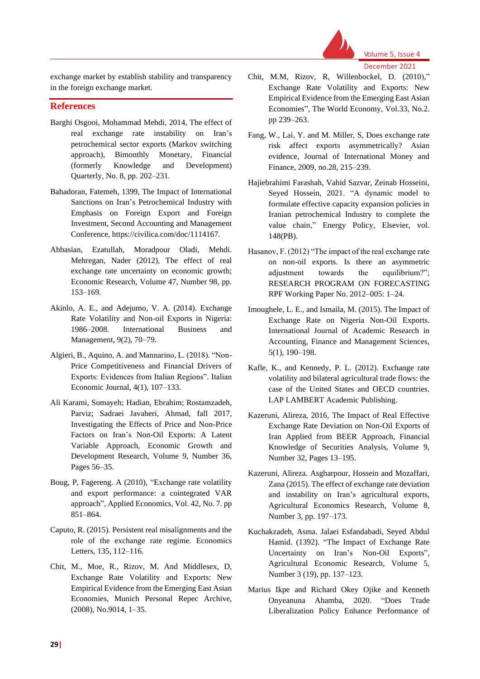

exchange market by establish stability and transparency in the foreign exchange market.

# **References**

- Barghi Osgooi, Mohammad Mehdi, 2014, The effect of real exchange rate instability on Iran's petrochemical sector exports (Markov switching approach), Bimonthly Monetary, Financial (formerly Knowledge and Development) Quarterly, No. 8, pp. 202–231.
- Bahadoran, Fatemeh, 1399, The Impact of International Sanctions on Iran's Petrochemical Industry with Emphasis on Foreign Export and Foreign Investment, Second Accounting and Management Conference, https://civilica.com/doc/1114167.
- Abbasian, Ezatullah, Moradpour Oladi, Mehdi. Mehregan, Nader (2012), The effect of real exchange rate uncertainty on economic growth; Economic Research, Volume 47, Number 98, pp. 153–169.
- Akinlo, A. E., and Adejumo, V. A. (2014). Exchange Rate Volatility and Non-oil Exports in Nigeria: 1986–2008. International Business and Management, 9(2), 70–79.
- Algieri, B., Aquino, A. and Mannarino, L. (2018). "Non-Price Competitiveness and Financial Drivers of Exports: Evidences from Italian Regions". Italian Economic Journal, 4(1), 107–133.
- Ali Karami, Somayeh; Hadian, Ebrahim; Rostamzadeh, Parviz; Sadraei Javaheri, Ahmad, fall 2017, Investigating the Effects of Price and Non-Price Factors on Iran's Non-Oil Exports: A Latent Variable Approach, Economic Growth and Development Research, Volume 9, Number 36, Pages 56–35.
- Boug, P, Fagereng. A (2010), "Exchange rate volatility and export performance: a cointegrated VAR approach", Applied Economics, Vol. 42, No. 7. pp 851–864.
- Caputo, R. (2015). Persistent real misalignments and the role of the exchange rate regime. Economics Letters, 135, 112–116.
- Chit, M., Moe, R., Rizov, M. And Middlesex, D, Exchange Rate Volatility and Exports: New Empirical Evidence from the Emerging East Asian Economies, Munich Personal Repec Archive, (2008), No.9014, 1–35.
- Chit, M.M, Rizov, R, Willenbockel, D. (2010)," Exchange Rate Volatility and Exports: New Empirical Evidence from the Emerging East Asian Economies", The World Economy, Vol.33, No.2. pp 239–263.
- Fang, W., Lai, Y. and M. Miller, S, Does exchange rate risk affect exports asymmetrically? Asian evidence, Journal of International Money and Finance, 2009, no.28, 215–239.
- Hajiebrahimi Farashah, Vahid Sazvar, Zeinab Hosseini, Seyed Hossein, 2021. "A dynamic model to formulate effective capacity expansion policies in Iranian petrochemical Industry to complete the value chain," Energy Policy, Elsevier, vol. 148(PB).
- Hasanov, F. (2012) "The impact of the real exchange rate on non-oil exports. Is there an asymmetric adjustment towards the equilibrium?"; RESEARCH PROGRAM ON FORECASTING RPF Working Paper No. 2012–005: 1–24.
- Imoughele, L. E., and Ismaila, M. (2015). The Impact of Exchange Rate on Nigeria Non-Oil Exports. International Journal of Academic Research in Accounting, Finance and Management Sciences, 5(1), 190–198.
- Kafle, K., and Kennedy, P. L. (2012). Exchange rate volatility and bilateral agricultural trade flows: the case of the United States and OECD countries. LAP LAMBERT Academic Publishing.
- Kazeruni, Alireza, 2016, The Impact of Real Effective Exchange Rate Deviation on Non-Oil Exports of Iran Applied from BEER Approach, Financial Knowledge of Securities Analysis, Volume 9, Number 32, Pages 13–195.
- Kazeruni, Alireza. Asgharpour, Hossein and Mozaffari, Zana (2015). The effect of exchange rate deviation and instability on Iran's agricultural exports, Agricultural Economics Research, Volume 8, Number 3, pp. 197–173.
- Kuchakzadeh, Asma. Jalaei Esfandabadi, Seyed Abdul Hamid. (1392). "The Impact of Exchange Rate Uncertainty on Iran's Non-Oil Exports", Agricultural Economic Research, Volume 5, Number 3 (19), pp. 137–123.
- Marius Ikpe and Richard Okey Ojike and Kenneth Onyeanuna Ahamba, 2020. "Does Trade Liberalization Policy Enhance Performance of